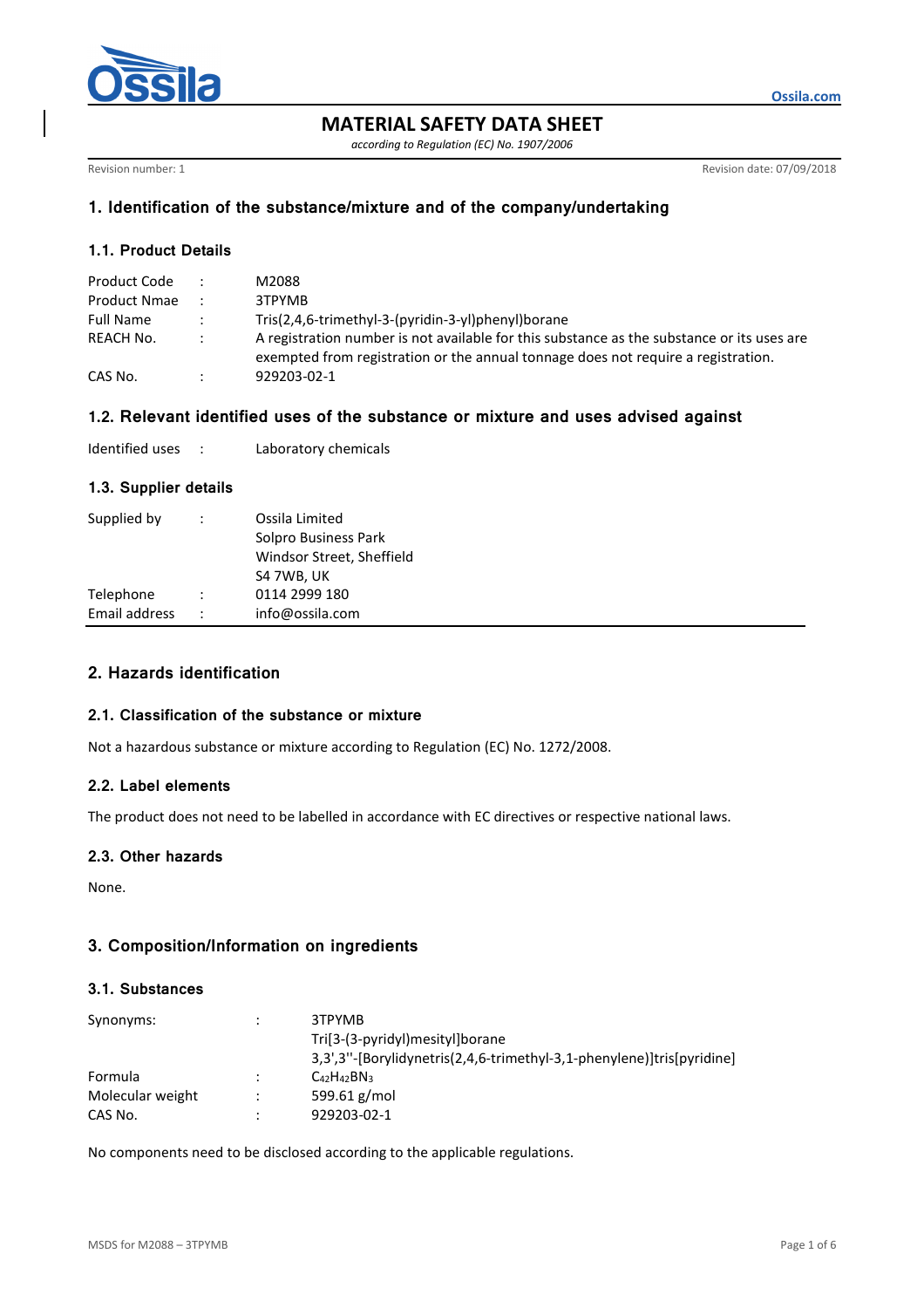

**MATERIAL SAFETY DATA SHEET** 

*according to Regulation (EC) No. 1907/2006* 

Revision number: 1 Revision date: 07/09/2018

**Ossila.com**

# **1. Identification of the substance/mixture and of the company/undertaking**

## **1.1. Product Details**

| Product Code     |        | M2088                                                                                                                                                                           |
|------------------|--------|---------------------------------------------------------------------------------------------------------------------------------------------------------------------------------|
| Product Nmae     |        | 3TPYMB                                                                                                                                                                          |
| <b>Full Name</b> |        | Tris(2,4,6-trimethyl-3-(pyridin-3-yl)phenyl)borane                                                                                                                              |
| REACH No.        | $\sim$ | A registration number is not available for this substance as the substance or its uses are<br>exempted from registration or the annual tonnage does not require a registration. |
| CAS No.          |        | 929203-02-1                                                                                                                                                                     |

#### **1.2. Relevant identified uses of the substance or mixture and uses advised against**

| Identified uses |  | Laboratory chemicals |
|-----------------|--|----------------------|
|-----------------|--|----------------------|

# **1.3. Supplier details**

| Supplied by   | $\ddot{\phantom{0}}$ | Ossila Limited<br>Solpro Business Park<br>Windsor Street, Sheffield<br>S4 7WB, UK |
|---------------|----------------------|-----------------------------------------------------------------------------------|
| Telephone     |                      | 0114 2999 180                                                                     |
| Email address | $\ddot{\phantom{0}}$ | info@ossila.com                                                                   |

# **2. Hazards identification**

#### **2.1. Classification of the substance or mixture**

Not a hazardous substance or mixture according to Regulation (EC) No. 1272/2008.

### **2.2. Label elements**

The product does not need to be labelled in accordance with EC directives or respective national laws.

# **2.3. Other hazards**

None.

## **3. Composition/Information on ingredients**

#### **3.1. Substances**

| Synonyms:        |                      | 3TPYMB<br>Tri[3-(3-pyridyl)mesityl]borane<br>3,3',3"-[Borylidynetris(2,4,6-trimethyl-3,1-phenylene)]tris[pyridine] |
|------------------|----------------------|--------------------------------------------------------------------------------------------------------------------|
| Formula          | ٠                    | $C_{42}H_{42}BN_3$                                                                                                 |
| Molecular weight | $\ddot{\phantom{a}}$ | 599.61 $g/mol$                                                                                                     |
| CAS No.          |                      | 929203-02-1                                                                                                        |

No components need to be disclosed according to the applicable regulations.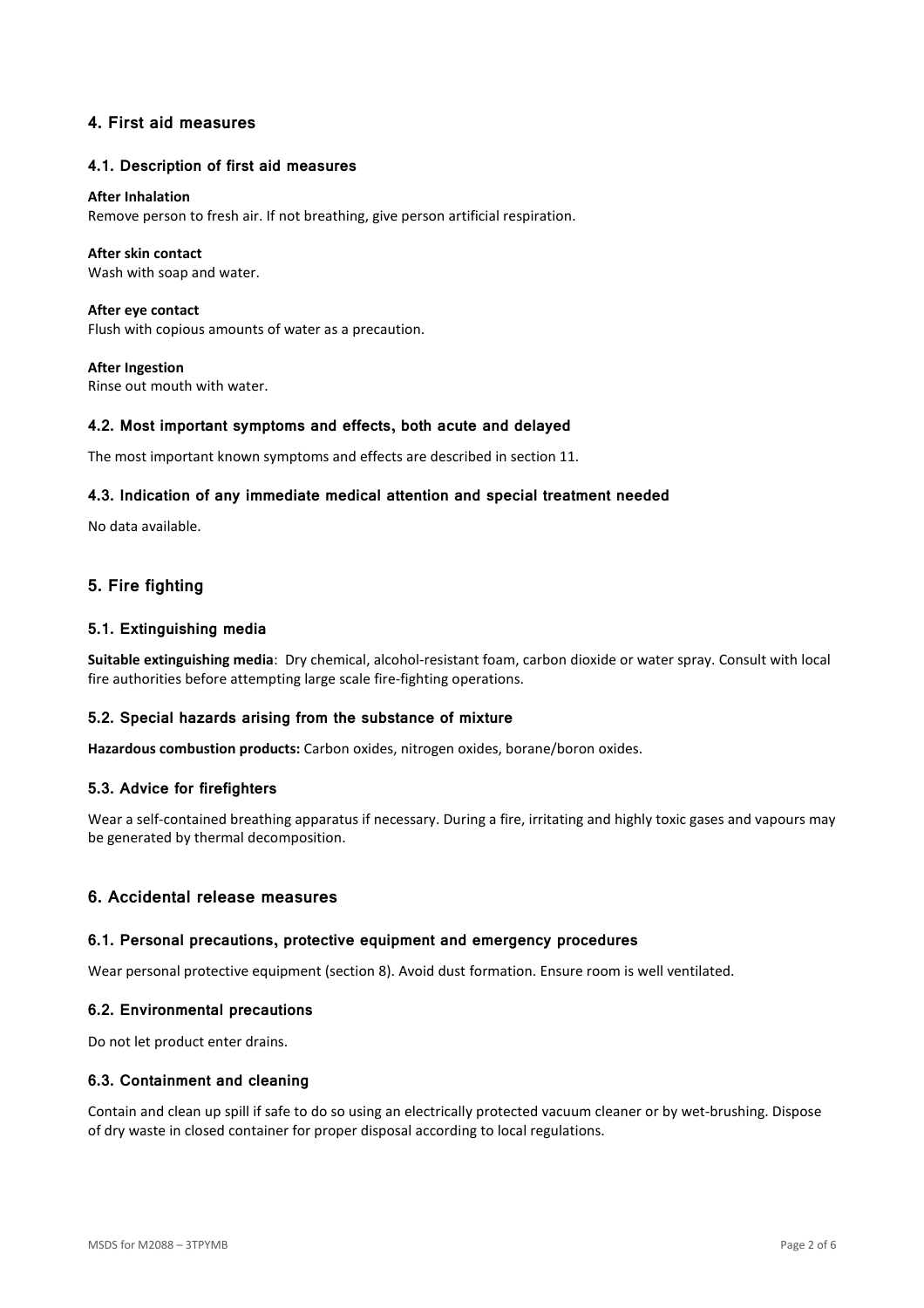# **4. First aid measures**

#### **4.1. Description of first aid measures**

#### **After Inhalation**

Remove person to fresh air. If not breathing, give person artificial respiration.

#### **After skin contact**

Wash with soap and water.

**After eye contact**  Flush with copious amounts of water as a precaution.

**After Ingestion**  Rinse out mouth with water.

#### **4.2. Most important symptoms and effects, both acute and delayed**

The most important known symptoms and effects are described in section 11.

#### **4.3. Indication of any immediate medical attention and special treatment needed**

No data available.

# **5. Fire fighting**

#### **5.1. Extinguishing media**

**Suitable extinguishing media**: Dry chemical, alcohol-resistant foam, carbon dioxide or water spray. Consult with local fire authorities before attempting large scale fire-fighting operations.

### **5.2. Special hazards arising from the substance of mixture**

**Hazardous combustion products:** Carbon oxides, nitrogen oxides, borane/boron oxides.

#### **5.3. Advice for firefighters**

Wear a self-contained breathing apparatus if necessary. During a fire, irritating and highly toxic gases and vapours may be generated by thermal decomposition.

## **6. Accidental release measures**

#### **6.1. Personal precautions, protective equipment and emergency procedures**

Wear personal protective equipment (section 8). Avoid dust formation. Ensure room is well ventilated.

#### **6.2. Environmental precautions**

Do not let product enter drains.

#### **6.3. Containment and cleaning**

Contain and clean up spill if safe to do so using an electrically protected vacuum cleaner or by wet-brushing. Dispose of dry waste in closed container for proper disposal according to local regulations.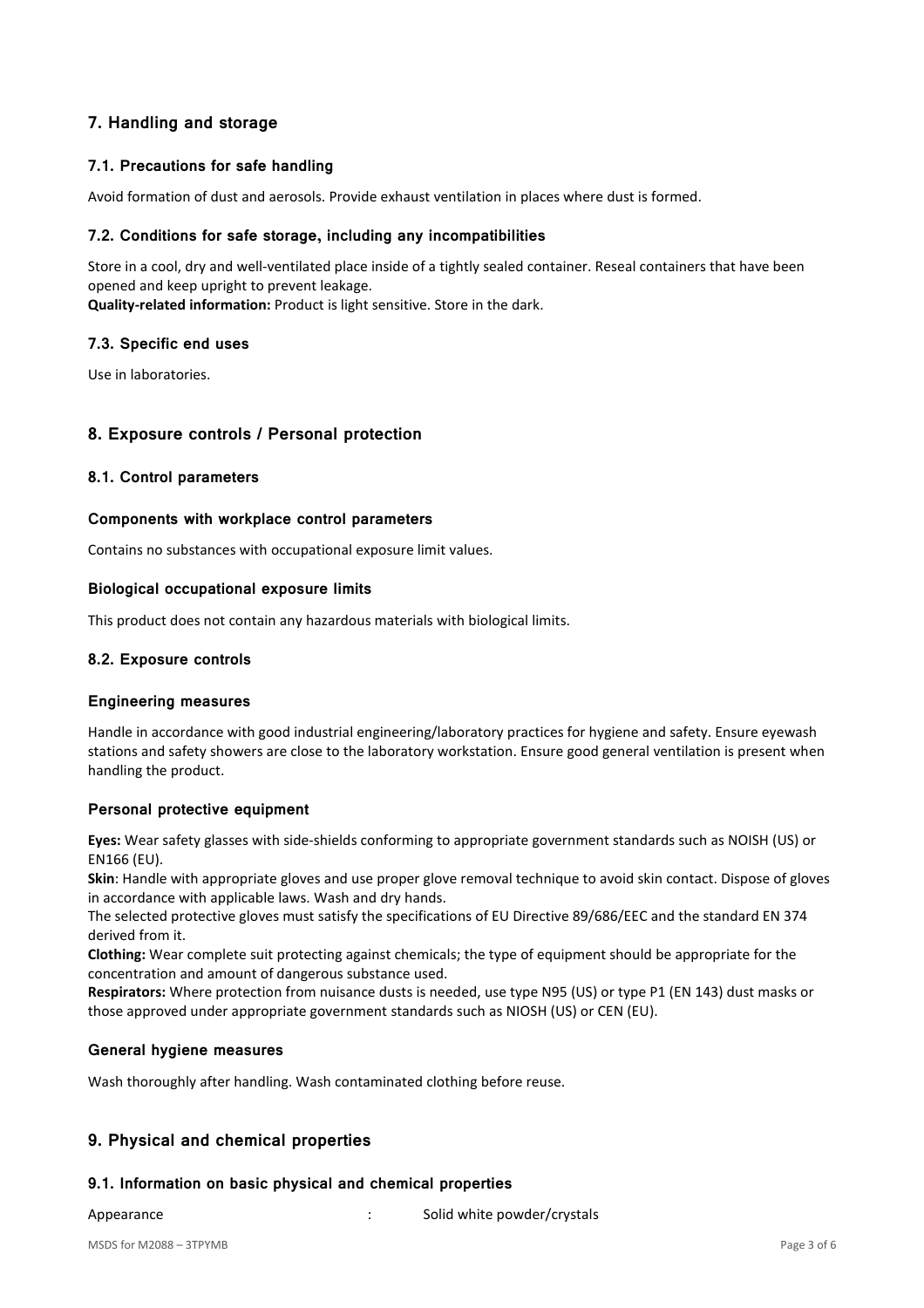# **7. Handling and storage**

# **7.1. Precautions for safe handling**

Avoid formation of dust and aerosols. Provide exhaust ventilation in places where dust is formed.

### **7.2. Conditions for safe storage, including any incompatibilities**

Store in a cool, dry and well-ventilated place inside of a tightly sealed container. Reseal containers that have been opened and keep upright to prevent leakage.

**Quality-related information:** Product is light sensitive. Store in the dark.

### **7.3. Specific end uses**

Use in laboratories.

### **8. Exposure controls / Personal protection**

### **8.1. Control parameters**

#### **Components with workplace control parameters**

Contains no substances with occupational exposure limit values.

#### **Biological occupational exposure limits**

This product does not contain any hazardous materials with biological limits.

### **8.2. Exposure controls**

#### **Engineering measures**

Handle in accordance with good industrial engineering/laboratory practices for hygiene and safety. Ensure eyewash stations and safety showers are close to the laboratory workstation. Ensure good general ventilation is present when handling the product.

### **Personal protective equipment**

**Eyes:** Wear safety glasses with side-shields conforming to appropriate government standards such as NOISH (US) or EN166 (EU).

**Skin**: Handle with appropriate gloves and use proper glove removal technique to avoid skin contact. Dispose of gloves in accordance with applicable laws. Wash and dry hands.

The selected protective gloves must satisfy the specifications of EU Directive 89/686/EEC and the standard EN 374 derived from it.

**Clothing:** Wear complete suit protecting against chemicals; the type of equipment should be appropriate for the concentration and amount of dangerous substance used.

**Respirators:** Where protection from nuisance dusts is needed, use type N95 (US) or type P1 (EN 143) dust masks or those approved under appropriate government standards such as NIOSH (US) or CEN (EU).

### **General hygiene measures**

Wash thoroughly after handling. Wash contaminated clothing before reuse.

# **9. Physical and chemical properties**

### **9.1. Information on basic physical and chemical properties**

Appearance: Solid white powder/crystals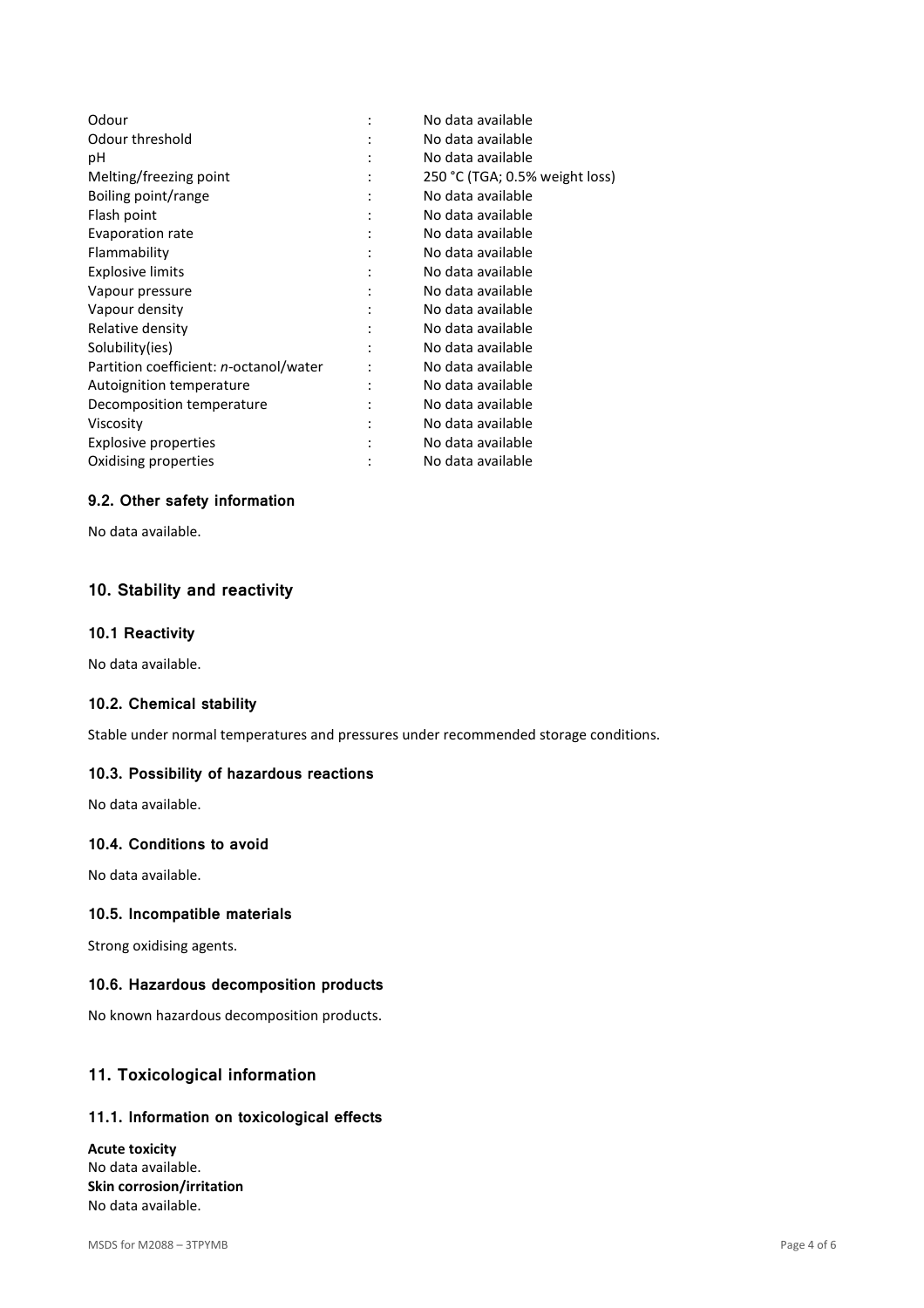| No data available              |
|--------------------------------|
| No data available              |
| No data available              |
| 250 °C (TGA; 0.5% weight loss) |
| No data available              |
| No data available              |
| No data available              |
| No data available              |
| No data available              |
| No data available              |
| No data available              |
| No data available              |
| No data available              |
| No data available              |
| No data available              |
| No data available              |
| No data available              |
| No data available              |
| No data available              |
|                                |

# **9.2. Other safety information**

No data available.

# **10. Stability and reactivity**

#### **10.1 Reactivity**

No data available.

# **10.2. Chemical stability**

Stable under normal temperatures and pressures under recommended storage conditions.

#### **10.3. Possibility of hazardous reactions**

No data available.

# **10.4. Conditions to avoid**

No data available.

#### **10.5. Incompatible materials**

Strong oxidising agents.

#### **10.6. Hazardous decomposition products**

No known hazardous decomposition products.

# **11. Toxicological information**

#### **11.1. Information on toxicological effects**

**Acute toxicity**  No data available. **Skin corrosion/irritation**  No data available.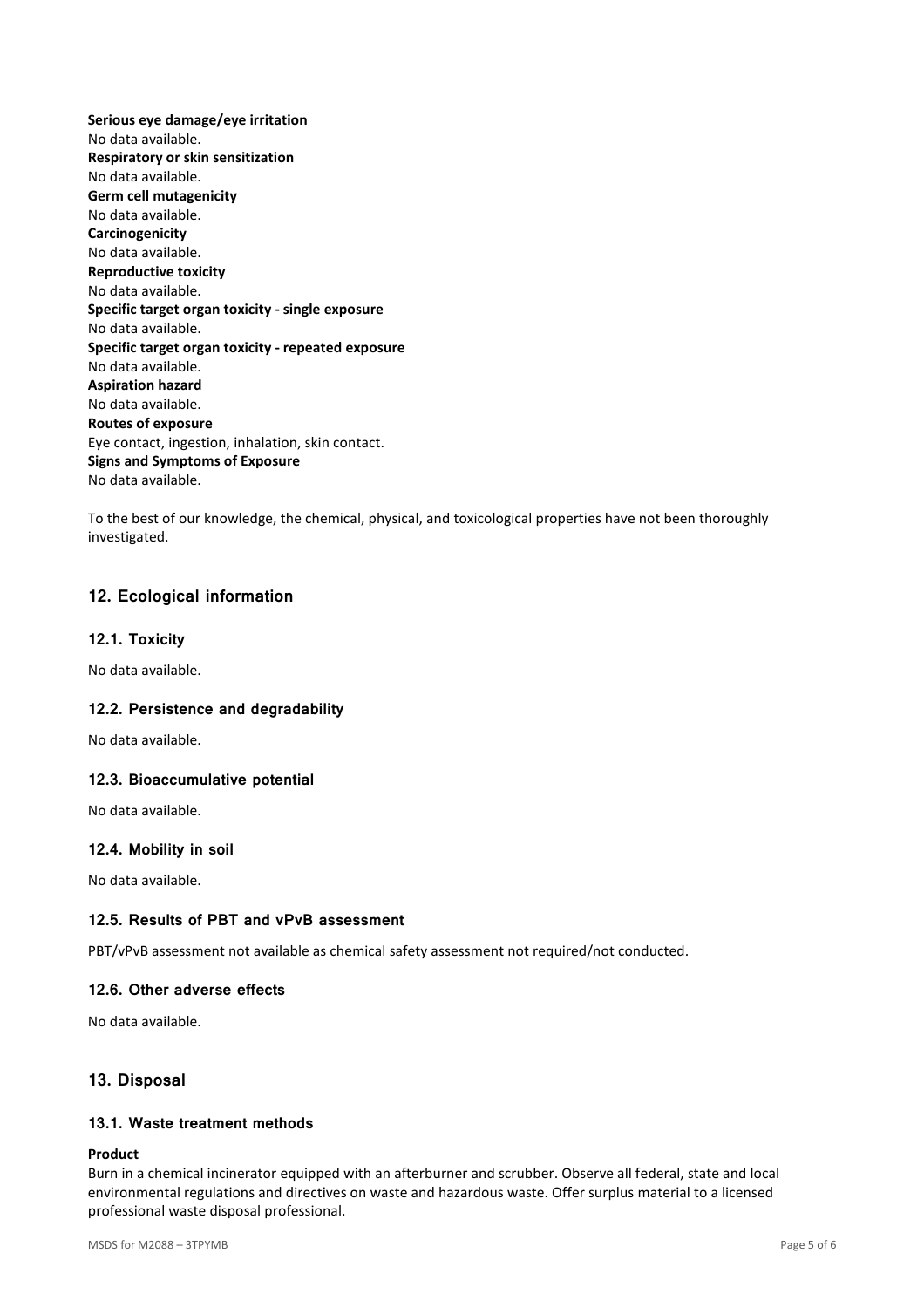**Serious eye damage/eye irritation**  No data available. **Respiratory or skin sensitization**  No data available. **Germ cell mutagenicity**  No data available. **Carcinogenicity**  No data available. **Reproductive toxicity**  No data available. **Specific target organ toxicity - single exposure**  No data available. **Specific target organ toxicity - repeated exposure**  No data available. **Aspiration hazard**  No data available. **Routes of exposure**  Eye contact, ingestion, inhalation, skin contact. **Signs and Symptoms of Exposure**  No data available.

To the best of our knowledge, the chemical, physical, and toxicological properties have not been thoroughly investigated.

# **12. Ecological information**

### **12.1. Toxicity**

No data available.

### **12.2. Persistence and degradability**

No data available.

### **12.3. Bioaccumulative potential**

No data available.

### **12.4. Mobility in soil**

No data available.

### **12.5. Results of PBT and vPvB assessment**

PBT/vPvB assessment not available as chemical safety assessment not required/not conducted.

### **12.6. Other adverse effects**

No data available.

# **13. Disposal**

# **13.1. Waste treatment methods**

#### **Product**

Burn in a chemical incinerator equipped with an afterburner and scrubber. Observe all federal, state and local environmental regulations and directives on waste and hazardous waste. Offer surplus material to a licensed professional waste disposal professional.